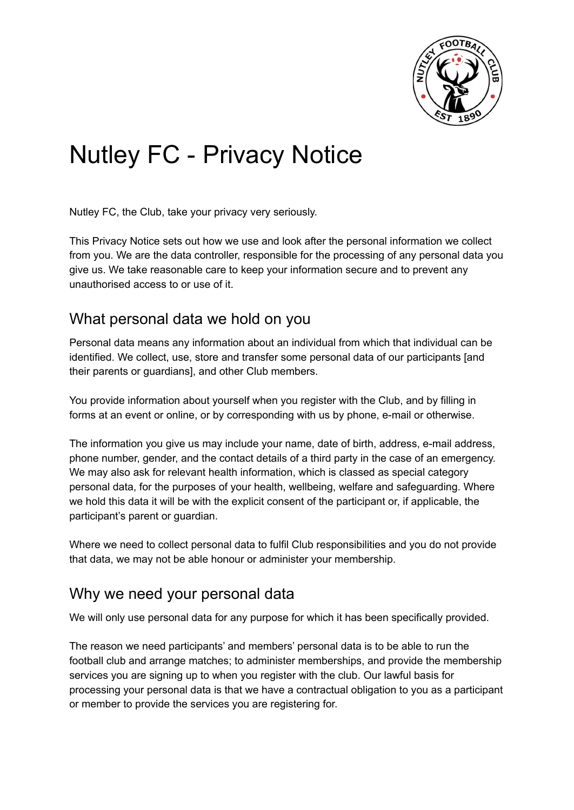

# Nutley FC - Privacy Notice

Nutley FC, the Club, take your privacy very seriously.

This Privacy Notice sets out how we use and look after the personal information we collect from you. We are the data controller, responsible for the processing of any personal data you give us. We take reasonable care to keep your information secure and to prevent any unauthorised access to or use of it.

#### What personal data we hold on you

Personal data means any information about an individual from which that individual can be identified. We collect, use, store and transfer some personal data of our participants [and their parents or guardians], and other Club members.

You provide information about yourself when you register with the Club, and by filling in forms at an event or online, or by corresponding with us by phone, e-mail or otherwise.

The information you give us may include your name, date of birth, address, e-mail address, phone number, gender, and the contact details of a third party in the case of an emergency. We may also ask for relevant health information, which is classed as special category personal data, for the purposes of your health, wellbeing, welfare and safeguarding. Where we hold this data it will be with the explicit consent of the participant or, if applicable, the participant's parent or guardian.

Where we need to collect personal data to fulfil Club responsibilities and you do not provide that data, we may not be able honour or administer your membership.

# Why we need your personal data

We will only use personal data for any purpose for which it has been specifically provided.

The reason we need participants' and members' personal data is to be able to run the football club and arrange matches; to administer memberships, and provide the membership services you are signing up to when you register with the club. Our lawful basis for processing your personal data is that we have a contractual obligation to you as a participant or member to provide the services you are registering for.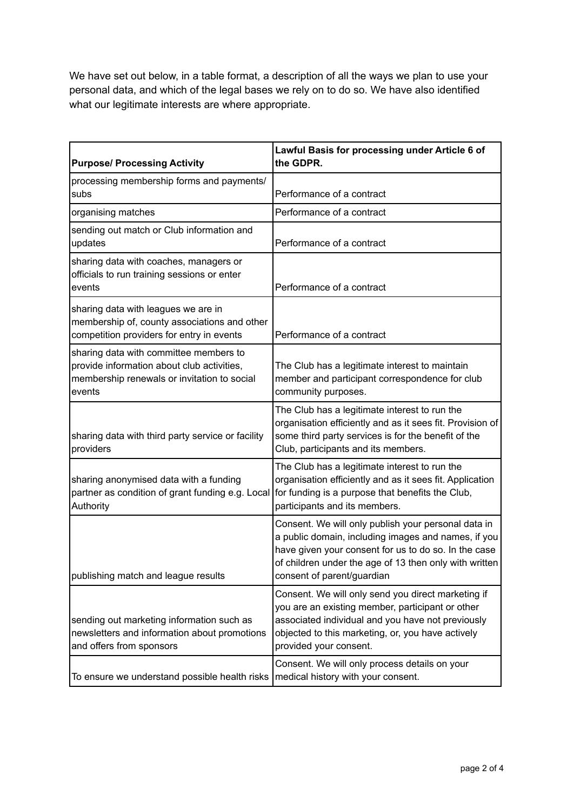We have set out below, in a table format, a description of all the ways we plan to use your personal data, and which of the legal bases we rely on to do so. We have also identified what our legitimate interests are where appropriate.

| <b>Purpose/ Processing Activity</b>                                                                                                           | Lawful Basis for processing under Article 6 of<br>the GDPR.                                                                                                                                                                                                |
|-----------------------------------------------------------------------------------------------------------------------------------------------|------------------------------------------------------------------------------------------------------------------------------------------------------------------------------------------------------------------------------------------------------------|
| processing membership forms and payments/<br>subs                                                                                             | Performance of a contract                                                                                                                                                                                                                                  |
| organising matches                                                                                                                            | Performance of a contract                                                                                                                                                                                                                                  |
| sending out match or Club information and<br>updates                                                                                          | Performance of a contract                                                                                                                                                                                                                                  |
| sharing data with coaches, managers or<br>officials to run training sessions or enter<br>events                                               | Performance of a contract                                                                                                                                                                                                                                  |
| sharing data with leagues we are in<br>membership of, county associations and other<br>competition providers for entry in events              | Performance of a contract                                                                                                                                                                                                                                  |
| sharing data with committee members to<br>provide information about club activities,<br>membership renewals or invitation to social<br>events | The Club has a legitimate interest to maintain<br>member and participant correspondence for club<br>community purposes.                                                                                                                                    |
| sharing data with third party service or facility<br>providers                                                                                | The Club has a legitimate interest to run the<br>organisation efficiently and as it sees fit. Provision of<br>some third party services is for the benefit of the<br>Club, participants and its members.                                                   |
| sharing anonymised data with a funding<br>partner as condition of grant funding e.g. Local<br>Authority                                       | The Club has a legitimate interest to run the<br>organisation efficiently and as it sees fit. Application<br>for funding is a purpose that benefits the Club,<br>participants and its members.                                                             |
| publishing match and league results                                                                                                           | Consent. We will only publish your personal data in<br>a public domain, including images and names, if you<br>have given your consent for us to do so. In the case<br>of children under the age of 13 then only with written<br>consent of parent/guardian |
| sending out marketing information such as<br>newsletters and information about promotions<br>and offers from sponsors                         | Consent. We will only send you direct marketing if<br>you are an existing member, participant or other<br>associated individual and you have not previously<br>objected to this marketing, or, you have actively<br>provided your consent.                 |
| To ensure we understand possible health risks                                                                                                 | Consent. We will only process details on your<br>medical history with your consent.                                                                                                                                                                        |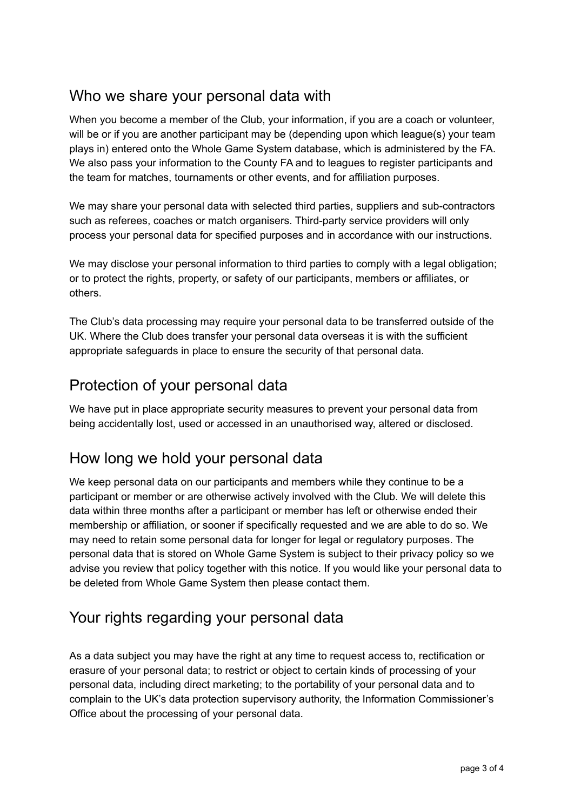#### Who we share your personal data with

When you become a member of the Club, your information, if you are a coach or volunteer, will be or if you are another participant may be (depending upon which league(s) your team plays in) entered onto the Whole Game System database, which is administered by the FA. We also pass your information to the County FA and to leagues to register participants and the team for matches, tournaments or other events, and for affiliation purposes.

We may share your personal data with selected third parties, suppliers and sub-contractors such as referees, coaches or match organisers. Third-party service providers will only process your personal data for specified purposes and in accordance with our instructions.

We may disclose your personal information to third parties to comply with a legal obligation; or to protect the rights, property, or safety of our participants, members or affiliates, or others.

The Club's data processing may require your personal data to be transferred outside of the UK. Where the Club does transfer your personal data overseas it is with the sufficient appropriate safeguards in place to ensure the security of that personal data.

# Protection of your personal data

We have put in place appropriate security measures to prevent your personal data from being accidentally lost, used or accessed in an unauthorised way, altered or disclosed.

# How long we hold your personal data

We keep personal data on our participants and members while they continue to be a participant or member or are otherwise actively involved with the Club. We will delete this data within three months after a participant or member has left or otherwise ended their membership or affiliation, or sooner if specifically requested and we are able to do so. We may need to retain some personal data for longer for legal or regulatory purposes. The personal data that is stored on Whole Game System is subject to their privacy policy so we advise you review that policy together with this notice. If you would like your personal data to be deleted from Whole Game System then please contact them.

# Your rights regarding your personal data

As a data subject you may have the right at any time to request access to, rectification or erasure of your personal data; to restrict or object to certain kinds of processing of your personal data, including direct marketing; to the portability of your personal data and to complain to the UK's data protection supervisory authority, the Information Commissioner's Office about the processing of your personal data.